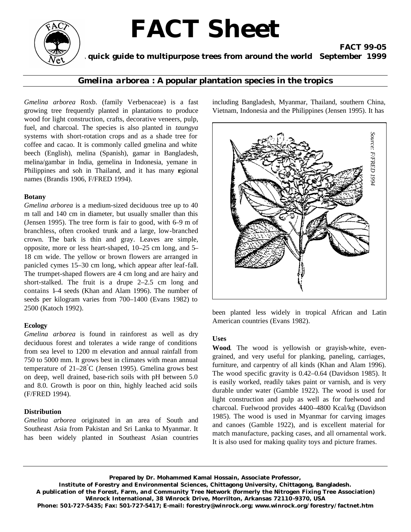# **FACT Sheet**



# **A quick guide to multipurpose trees from around the world September 1999**

## *Gmelina arborea* **: A popular plantation species in the tropics**

*Gmelina arborea* Roxb. (family Verbenaceae) is a fast growing tree frequently planted in plantations to produce wood for light construction, crafts, decorative veneers, pulp, fuel, and charcoal. The species is also planted in *taungya* systems with short-rotation crops and as a shade tree for coffee and cacao. It is commonly called gmelina and white beech (English), melina (Spanish), gamar in Bangladesh, melina/gambar in India, gemelina in Indonesia, yemane in Philippines and soh in Thailand, and it has many regional names (Brandis 1906, F/FRED 1994).

#### **Botany**

*Gmelina arborea* is a medium-sized deciduous tree up to 40 m tall and 140 cm in diameter, but usually smaller than this (Jensen 1995). The tree form is fair to good, with 6–9 m of branchless, often crooked trunk and a large, low-branched crown. The bark is thin and gray. Leaves are simple, opposite, more or less heart-shaped, 10–25 cm long, and 5– 18 cm wide. The yellow or brown flowers are arranged in panicled cymes 15–30 cm long, which appear after leaf-fall. The trumpet-shaped flowers are 4 cm long and are hairy and short-stalked. The fruit is a drupe 2–2.5 cm long and contains 1–4 seeds (Khan and Alam 1996). The number of seeds per kilogram varies from 700–1400 (Evans 1982) to 2500 (Katoch 1992).

#### **Ecology**

*Gmelina arborea* is found in rainforest as well as dry deciduous forest and tolerates a wide range of conditions from sea level to 1200 m elevation and annual rainfall from 750 to 5000 mm. It grows best in climates with mean annual temperature of  $21-28^{\circ}$ C (Jensen 1995). Gmelina grows best on deep, well drained, base-rich soils with pH between 5.0 and 8.0. Growth is poor on thin, highly leached acid soils (F/FRED 1994).

#### **Distribution**

*Gmelina arborea* originated in an area of South and Southeast Asia from Pakistan and Sri Lanka to Myanmar. It has been widely planted in Southeast Asian countries including Bangladesh, Myanmar, Thailand, southern China, Vietnam, Indonesia and the Philippines (Jensen 1995). It has

**FACT 99-05**



been planted less widely in tropical African and Latin American countries (Evans 1982).

#### **Uses**

**Wood**. The wood is yellowish or grayish-white, evengrained, and very useful for planking, paneling, carriages, furniture, and carpentry of all kinds (Khan and Alam 1996). The wood specific gravity is 0.42–0.64 (Davidson 1985). It is easily worked, readily takes paint or varnish, and is very durable under water (Gamble 1922). The wood is used for light construction and pulp as well as for fuelwood and charcoal. Fuelwood provides 4400–4800 Kcal/kg (Davidson 1985). The wood is used in Myanmar for carving images and canoes (Gamble 1922), and is excellent material for match manufacture, packing cases, and all ornamental work.

**Prepared by Dr. Mohammed Kamal Hossain, Associate Professor,** 

**Institute of Forestry and Environmental Sciences, Chittagong University, Chittagong, Bangladesh. A publication of the Forest, Farm, and Community Tree Network (formerly the Nitrogen Fixing Tree Association) Winrock International, 38 Winrock Drive, Morrilton, Arkansas 72110-9370, USA Phone: 501-727-5435; Fax: 501-727-5417; E-mail: forestry@winrock.org; www.winrock.org/forestry/factnet.htm**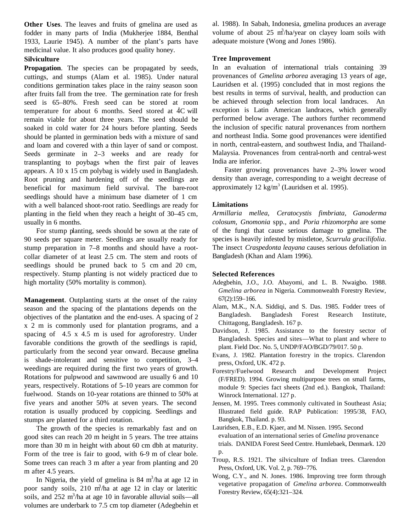**Other Uses**. The leaves and fruits of gmelina are used as fodder in many parts of India (Mukherjee 1884, Benthal 1933, Laurie 1945). A number of the plant's parts have medicinal value. It also produces good quality honey.

### **Silviculture**

**Propagation**. The species can be propagated by seeds, cuttings, and stumps (Alam et al. 1985). Under natural conditions germination takes place in the rainy season soon after fruits fall from the tree. The germination rate for fresh seed is 65–80%. Fresh seed can be stored at room temperature for about 6 months. Seed stored at  $AC$  will remain viable for about three years. The seed should be soaked in cold water for 24 hours before planting. Seeds should be planted in germination beds with a mixture of sand and loam and covered with a thin layer of sand or compost. Seeds germinate in 2–3 weeks and are ready for transplanting to poybags when the first pair of leaves appears. A 10 x 15 cm polybag is widely used in Bangladesh. Root pruning and hardening off of the seedlings are beneficial for maximum field survival. The bare-root seedlings should have a minimum base diameter of 1 cm with a well balanced shoot-root ratio. Seedlings are ready for planting in the field when they reach a height of 30–45 cm, usually in 6 months.

For stump planting, seeds should be sown at the rate of 90 seeds per square meter. Seedlings are usually ready for stump preparation in 7–8 months and should have a rootcollar diameter of at least 2.5 cm. The stem and roots of seedlings should be pruned back to 5 cm and 20 cm, respectively. Stump planting is not widely practiced due to high mortality (50% mortality is common).

**Management**. Outplanting starts at the onset of the rainy season and the spacing of the plantations depends on the objectives of the plantation and the end-uses. A spacing of 2 x 2 m is commonly used for plantation programs, and a spacing of 4.5 x 4.5 m is used for agroforestry. Under favorable conditions the growth of the seedlings is rapid, particularly from the second year onward. Because gmelina is shade-intolerant and sensitive to competition, 3–4 weedings are required during the first two years of growth. Rotations for pulpwood and sawnwood are usually 6 and 10 years, respectively. Rotations of 5–10 years are common for fuelwood. Stands on 10-year rotations are thinned to 50% at five years and another 50% at seven years. The second rotation is usually produced by coppicing. Seedlings and stumps are planted for a third rotation.

The growth of the species is remarkably fast and on good sites can reach 20 m height in 5 years. The tree attains more than 30 m in height with about 60 cm dbh at maturity. Form of the tree is fair to good, with 6–9 m of clear bole. Some trees can reach 3 m after a year from planting and 20 m after 4.5 years.

In Nigeria, the yield of gmelina is  $84 \text{ m}^3/\text{ha}$  at age 12 in poor sandy soils,  $210 \text{ m}^3/\text{ha}$  at age 12 in clay or lateritic soils, and  $252 \text{ m}^3/\text{ha}$  at age 10 in favorable alluvial soils—all volumes are underbark to 7.5 cm top diameter (Adegbehin et

al. 1988). In Sabah, Indonesia, gmelina produces an average volume of about  $25 \text{ m}^3$ /ha/year on clayey loam soils with adequate moisture (Wong and Jones 1986).

#### **Tree Improvement**

In an evaluation of international trials containing 39 provenances of *Gmelina arborea* averaging 13 years of age, Lauridsen et al. (1995) concluded that in most regions the best results in terms of survival, health, and production can be achieved through selection from local landraces. An exception is Latin American landraces, which generally performed below average. The authors further recommend the inclusion of specific natural provenances from northern and northeast India. Some good provenances were identified in north, central-eastern, and southwest India, and Thailand-Malaysia. Provenances from central-north and central-west India are inferior.

Faster growing provenances have 2–3% lower wood density than average, corresponding to a weight decrease of approximately  $12 \text{ kg/m}^3$  (Lauridsen et al. 1995).

#### **Limitations**

*Armillaria mellea*, *Ceratocystis fimbriata, Ganoderma colosum*, *Gnomonia* spp., and *Poria rhizomorpha* are some of the fungi that cause serious damage to gmelina. The species is heavily infested by mistletoe*, Scurrula gracilifolia*. The insect *Craspedonta leayana* causes serious defoliation in Bangladesh (Khan and Alam 1996).

#### **Selected References**

- Adegbehin, J.O., J.O. Abayomi, and L. B. Nwaigbo. 1988. *Gmelina arborea* in Nigeria. Commonwealth Forestry Review, 67(2):159–166.
- Alam, M.K., N.A. Siddiqi, and S. Das. 1985. Fodder trees of Bangladesh. Bangladesh Forest Research Institute, Chittagong, Bangladesh. 167 p.
- Davidson, J. 1985. Assistance to the forestry sector of Bangladesh. Species and sites—What to plant and where to plant. Field Doc. No. 5, UNDP/FAO/BGD/79/017. 50 p.
- Evans, J. 1982. Plantation forestry in the tropics. Clarendon press, Oxford, UK. 472 p.
- Forestry/Fuelwood Research and Development Project (F/FRED). 1994. Growing multipurpose trees on small farms, module 9: Species fact sheets (2nd ed.). Bangkok, Thailand: Winrock International. 127 p.
- Jensen, M. 1995. Trees commonly cultivated in Southeast Asia; Illustrated field guide. RAP Publication: 1995/38, FAO, Bangkok, Thailand. p. 93.
- Lauridsen, E.B., E.D. Kjaer, and M. Nissen. 1995. Second evaluation of an international series of *Gmelina* provenance trials. DANIDA Forest Seed Centre. Humlebaek, Denmark. 120 p.
- Troup, R.S. 1921. The silviculture of Indian trees. Clarendon Press, Oxford, UK. Vol. 2, p. 769–776.
- Wong, C.Y., and N. Jones. 1986. Improving tree form through vegetative propagation of *Gmelina arborea*. Commonwealth Forestry Review, 65(4):321–324.